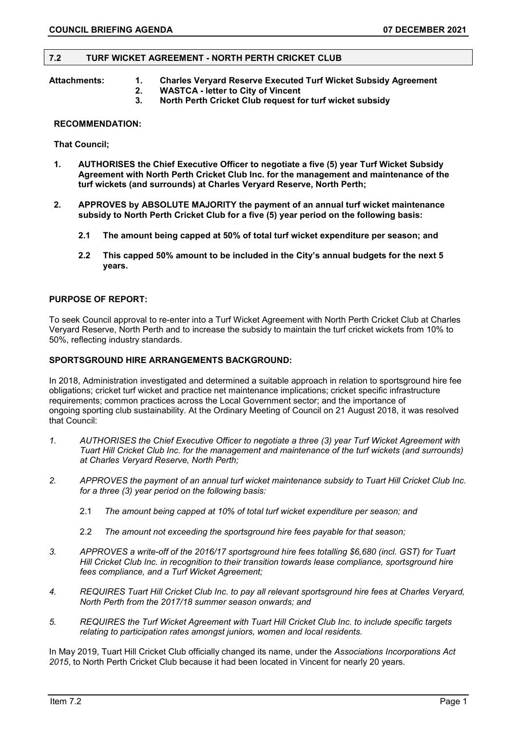#### **7.2 TURF WICKET AGREEMENT - NORTH PERTH CRICKET CLUB**

- **Attachments: 1. Charles Veryard Reserve Executed Turf Wicket Subsidy Agreement** 
	- **2. WASTCA - letter to City of Vincent**
	- **3. North Perth Cricket Club request for turf wicket subsidy**

#### **RECOMMENDATION:**

**That Council;**

- **1. AUTHORISES the Chief Executive Officer to negotiate a five (5) year Turf Wicket Subsidy Agreement with North Perth Cricket Club Inc. for the management and maintenance of the turf wickets (and surrounds) at Charles Veryard Reserve, North Perth;**
- **2. APPROVES by ABSOLUTE MAJORITY the payment of an annual turf wicket maintenance subsidy to North Perth Cricket Club for a five (5) year period on the following basis:** 
	- **2.1 The amount being capped at 50% of total turf wicket expenditure per season; and**
	- **2.2 This capped 50% amount to be included in the City's annual budgets for the next 5 years.**

#### **PURPOSE OF REPORT:**

To seek Council approval to re-enter into a Turf Wicket Agreement with North Perth Cricket Club at Charles Veryard Reserve, North Perth and to increase the subsidy to maintain the turf cricket wickets from 10% to 50%, reflecting industry standards.

#### **SPORTSGROUND HIRE ARRANGEMENTS BACKGROUND:**

In 2018, Administration investigated and determined a suitable approach in relation to sportsground hire fee obligations; cricket turf wicket and practice net maintenance implications; cricket specific infrastructure requirements; common practices across the Local Government sector; and the importance of ongoing sporting club sustainability. At the Ordinary Meeting of Council on 21 August 2018, it was resolved that Council:

- *1. AUTHORISES the Chief Executive Officer to negotiate a three (3) year Turf Wicket Agreement with Tuart Hill Cricket Club Inc. for the management and maintenance of the turf wickets (and surrounds) at Charles Veryard Reserve, North Perth;*
- *2. APPROVES the payment of an annual turf wicket maintenance subsidy to Tuart Hill Cricket Club Inc. for a three (3) year period on the following basis:*
	- 2.1 *The amount being capped at 10% of total turf wicket expenditure per season; and*
	- 2.2 *The amount not exceeding the sportsground hire fees payable for that season;*
- *3. APPROVES a write-off of the 2016/17 sportsground hire fees totalling \$6,680 (incl. GST) for Tuart Hill Cricket Club Inc. in recognition to their transition towards lease compliance, sportsground hire fees compliance, and a Turf Wicket Agreement;*
- *4. REQUIRES Tuart Hill Cricket Club Inc. to pay all relevant sportsground hire fees at Charles Veryard, North Perth from the 2017/18 summer season onwards; and*
- *5. REQUIRES the Turf Wicket Agreement with Tuart Hill Cricket Club Inc. to include specific targets relating to participation rates amongst juniors, women and local residents.*

In May 2019, Tuart Hill Cricket Club officially changed its name, under the *Associations Incorporations Act 2015*, to North Perth Cricket Club because it had been located in Vincent for nearly 20 years.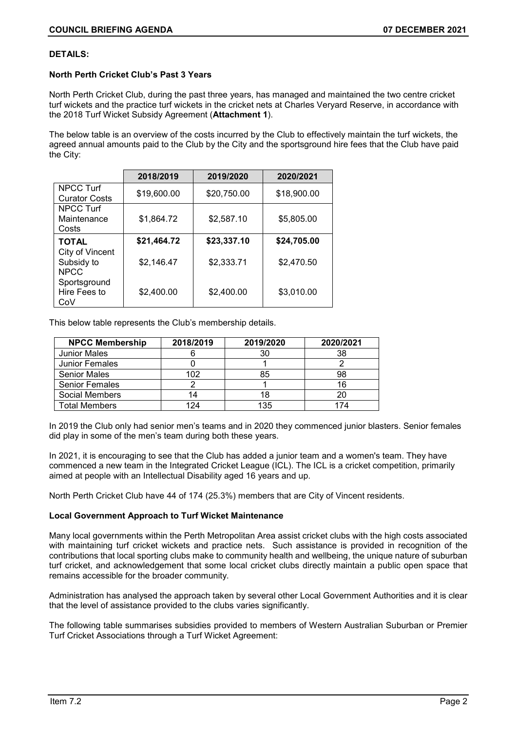#### **DETAILS:**

### **North Perth Cricket Club's Past 3 Years**

North Perth Cricket Club, during the past three years, has managed and maintained the two centre cricket turf wickets and the practice turf wickets in the cricket nets at Charles Veryard Reserve, in accordance with the 2018 Turf Wicket Subsidy Agreement (**Attachment 1**).

The below table is an overview of the costs incurred by the Club to effectively maintain the turf wickets, the agreed annual amounts paid to the Club by the City and the sportsground hire fees that the Club have paid the City:

|                      | 2018/2019   | 2019/2020   | 2020/2021   |  |
|----------------------|-------------|-------------|-------------|--|
| <b>NPCC Turf</b>     | \$19,600.00 | \$20,750.00 | \$18,900.00 |  |
| <b>Curator Costs</b> |             |             |             |  |
| NPCC Turf            |             |             |             |  |
| Maintenance          | \$1,864.72  | \$2,587.10  | \$5,805.00  |  |
| Costs                |             |             |             |  |
| <b>TOTAL</b>         | \$21,464.72 | \$23,337.10 | \$24,705.00 |  |
| City of Vincent      |             |             |             |  |
| Subsidy to           | \$2,146.47  | \$2,333.71  | \$2,470.50  |  |
| <b>NPCC</b>          |             |             |             |  |
| Sportsground         |             |             |             |  |
| Hire Fees to         | \$2,400.00  | \$2,400.00  | \$3,010.00  |  |
| CoV                  |             |             |             |  |

This below table represents the Club's membership details.

| <b>NPCC Membership</b> | 2018/2019 | 2019/2020 | 2020/2021 |  |
|------------------------|-----------|-----------|-----------|--|
| <b>Junior Males</b>    |           | 30        | 38        |  |
| <b>Junior Females</b>  |           |           |           |  |
| <b>Senior Males</b>    | 102       | 85        | 98        |  |
| <b>Senior Females</b>  |           |           | 16        |  |
| Social Members         | 14        | 18        | 20        |  |
| <b>Total Members</b>   | 124       | 135       | 174       |  |

In 2019 the Club only had senior men's teams and in 2020 they commenced junior blasters. Senior females did play in some of the men's team during both these years.

In 2021, it is encouraging to see that the Club has added a junior team and a women's team. They have commenced a new team in the Integrated Cricket League (ICL). The ICL is a cricket competition, primarily aimed at people with an Intellectual Disability aged 16 years and up.

North Perth Cricket Club have 44 of 174 (25.3%) members that are City of Vincent residents.

### **Local Government Approach to Turf Wicket Maintenance**

Many local governments within the Perth Metropolitan Area assist cricket clubs with the high costs associated with maintaining turf cricket wickets and practice nets. Such assistance is provided in recognition of the contributions that local sporting clubs make to community health and wellbeing, the unique nature of suburban turf cricket, and acknowledgement that some local cricket clubs directly maintain a public open space that remains accessible for the broader community.

Administration has analysed the approach taken by several other Local Government Authorities and it is clear that the level of assistance provided to the clubs varies significantly.

The following table summarises subsidies provided to members of Western Australian Suburban or Premier Turf Cricket Associations through a Turf Wicket Agreement: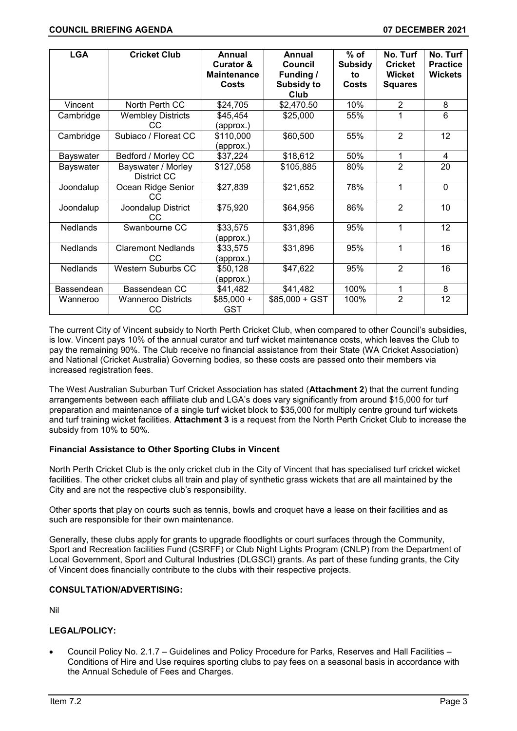| <b>LGA</b>      | <b>Cricket Club</b>               | Annual<br><b>Curator &amp;</b><br><b>Maintenance</b><br>Costs | Annual<br>Council<br><b>Funding /</b><br><b>Subsidy to</b><br>Club | $%$ of<br><b>Subsidy</b><br>to<br><b>Costs</b> | No. Turf<br><b>Cricket</b><br><b>Wicket</b><br><b>Squares</b> | No. Turf<br><b>Practice</b><br><b>Wickets</b> |
|-----------------|-----------------------------------|---------------------------------------------------------------|--------------------------------------------------------------------|------------------------------------------------|---------------------------------------------------------------|-----------------------------------------------|
| Vincent         | North Perth CC                    | \$24,705                                                      | \$2,470.50                                                         | 10%                                            | $\overline{2}$                                                | 8                                             |
| Cambridge       | <b>Wembley Districts</b><br>CC    | \$45,454<br>(approx.)                                         | \$25,000                                                           | 55%                                            | 1                                                             | 6                                             |
| Cambridge       | Subiaco / Floreat CC              | \$110,000<br>(approx.)                                        | \$60,500                                                           | 55%                                            | $\overline{2}$                                                | 12                                            |
| Bayswater       | Bedford / Morley CC               | \$37,224                                                      | \$18,612                                                           | 50%                                            | 1                                                             | 4                                             |
| Bayswater       | Bayswater / Morley<br>District CC | \$127,058                                                     | \$105,885                                                          | 80%                                            | $\overline{2}$                                                | 20                                            |
| Joondalup       | Ocean Ridge Senior<br>CC          | \$27,839                                                      | \$21,652                                                           | 78%                                            | 1                                                             | $\Omega$                                      |
| Joondalup       | Joondalup District<br>CC          | \$75,920                                                      | \$64,956                                                           | 86%                                            | $\overline{2}$                                                | 10                                            |
| <b>Nedlands</b> | Swanbourne CC                     | \$33,575<br>(approx.)                                         | \$31,896                                                           | 95%                                            | 1                                                             | 12                                            |
| <b>Nedlands</b> | <b>Claremont Nedlands</b><br>CC.  | \$33,575<br>(approx.)                                         | \$31,896                                                           | 95%                                            | 1                                                             | 16                                            |
| <b>Nedlands</b> | <b>Western Suburbs CC</b>         | \$50,128<br>(approx.)                                         | \$47,622                                                           | 95%                                            | $\overline{2}$                                                | 16                                            |
| Bassendean      | Bassendean CC                     | \$41,482                                                      | \$41,482                                                           | 100%                                           | 1                                                             | 8                                             |
| Wanneroo        | <b>Wanneroo Districts</b><br>CC   | $$85,000 +$<br><b>GST</b>                                     | $$85,000 + GST$                                                    | 100%                                           | $\overline{2}$                                                | 12                                            |

The current City of Vincent subsidy to North Perth Cricket Club, when compared to other Council's subsidies, is low. Vincent pays 10% of the annual curator and turf wicket maintenance costs, which leaves the Club to pay the remaining 90%. The Club receive no financial assistance from their State (WA Cricket Association) and National (Cricket Australia) Governing bodies, so these costs are passed onto their members via increased registration fees.

The West Australian Suburban Turf Cricket Association has stated (**Attachment 2**) that the current funding arrangements between each affiliate club and LGA's does vary significantly from around \$15,000 for turf preparation and maintenance of a single turf wicket block to \$35,000 for multiply centre ground turf wickets and turf training wicket facilities. **Attachment 3** is a request from the North Perth Cricket Club to increase the subsidy from 10% to 50%.

### **Financial Assistance to Other Sporting Clubs in Vincent**

North Perth Cricket Club is the only cricket club in the City of Vincent that has specialised turf cricket wicket facilities. The other cricket clubs all train and play of synthetic grass wickets that are all maintained by the City and are not the respective club's responsibility.

Other sports that play on courts such as tennis, bowls and croquet have a lease on their facilities and as such are responsible for their own maintenance.

Generally, these clubs apply for grants to upgrade floodlights or court surfaces through the Community, Sport and Recreation facilities Fund (CSRFF) or Club Night Lights Program (CNLP) from the Department of Local Government, Sport and Cultural Industries (DLGSCI) grants. As part of these funding grants, the City of Vincent does financially contribute to the clubs with their respective projects.

### **CONSULTATION/ADVERTISING:**

Nil

# **LEGAL/POLICY:**

• Council Policy No. 2.1.7 – Guidelines and Policy Procedure for Parks, Reserves and Hall Facilities – Conditions of Hire and Use requires sporting clubs to pay fees on a seasonal basis in accordance with the Annual Schedule of Fees and Charges.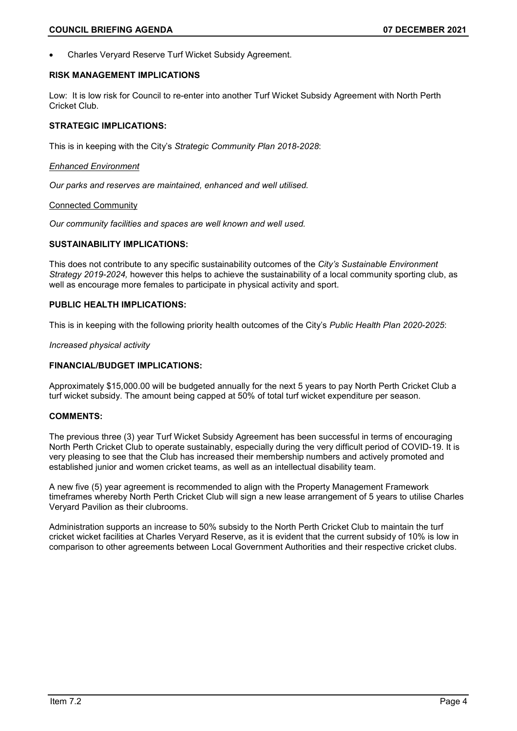• Charles Veryard Reserve Turf Wicket Subsidy Agreement.

#### **RISK MANAGEMENT IMPLICATIONS**

Low: It is low risk for Council to re-enter into another Turf Wicket Subsidy Agreement with North Perth Cricket Club.

#### **STRATEGIC IMPLICATIONS:**

This is in keeping with the City's *Strategic Community Plan 2018-2028*:

#### *Enhanced Environment*

*Our parks and reserves are maintained, enhanced and well utilised.*

#### Connected Community

*Our community facilities and spaces are well known and well used.*

# **SUSTAINABILITY IMPLICATIONS:**

This does not contribute to any specific sustainability outcomes of the *City's Sustainable Environment Strategy 2019-2024,* however this helps to achieve the sustainability of a local community sporting club, as well as encourage more females to participate in physical activity and sport.

#### **PUBLIC HEALTH IMPLICATIONS:**

This is in keeping with the following priority health outcomes of the City's *Public Health Plan 2020-2025*:

*Increased physical activity*

#### **FINANCIAL/BUDGET IMPLICATIONS:**

Approximately \$15,000.00 will be budgeted annually for the next 5 years to pay North Perth Cricket Club a turf wicket subsidy. The amount being capped at 50% of total turf wicket expenditure per season.

# **COMMENTS:**

The previous three (3) year Turf Wicket Subsidy Agreement has been successful in terms of encouraging North Perth Cricket Club to operate sustainably, especially during the very difficult period of COVID-19. It is very pleasing to see that the Club has increased their membership numbers and actively promoted and established junior and women cricket teams, as well as an intellectual disability team.

A new five (5) year agreement is recommended to align with the Property Management Framework timeframes whereby North Perth Cricket Club will sign a new lease arrangement of 5 years to utilise Charles Veryard Pavilion as their clubrooms.

Administration supports an increase to 50% subsidy to the North Perth Cricket Club to maintain the turf cricket wicket facilities at Charles Veryard Reserve, as it is evident that the current subsidy of 10% is low in comparison to other agreements between Local Government Authorities and their respective cricket clubs.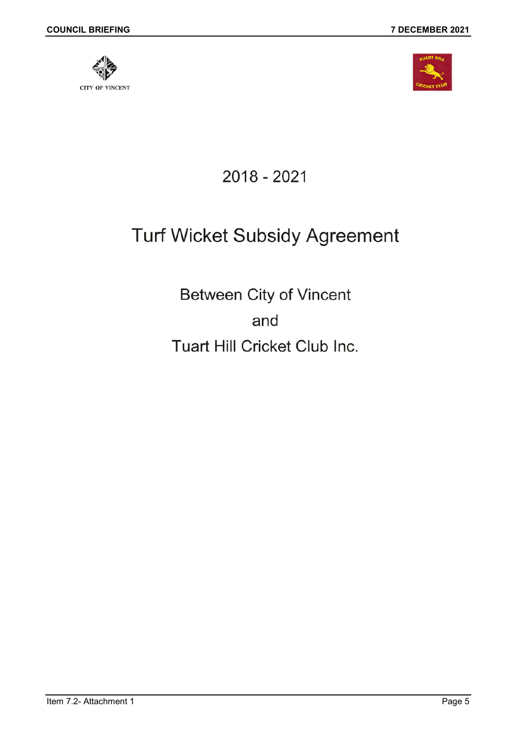

2018 - 2021

# **Turf Wicket Subsidy Agreement**

Between City of Vincent and Tuart Hill Cricket Club Inc.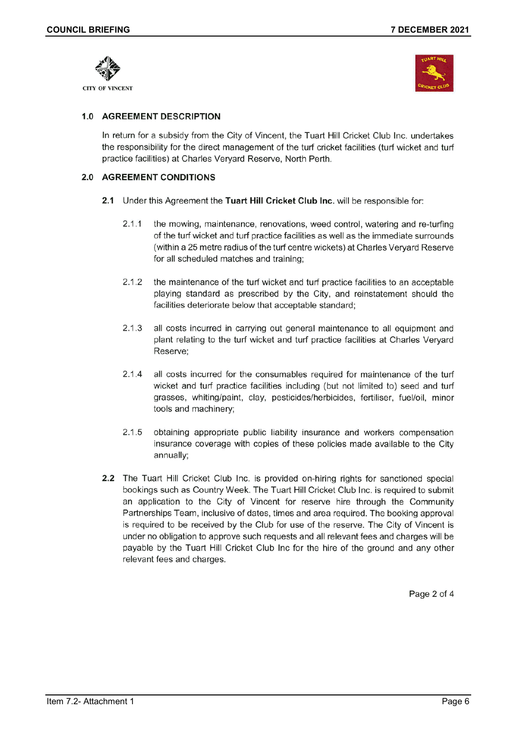



# 1.0 AGREEMENT DESCRIPTION

In return for a subsidy from the City of Vincent, the Tuart Hill Cricket Club Inc. undertakes the responsibility for the direct management of the turf cricket facilities (turf wicket and turf practice facilities) at Charles Veryard Reserve, North Perth.

# 2.0 AGREEMENT CONDITIONS

- 2.1 Under this Agreement the Tuart Hill Cricket Club Inc. will be responsible for:
	- $2.1.1$ the mowing, maintenance, renovations, weed control, watering and re-turfing of the turf wicket and turf practice facilities as well as the immediate surrounds (within a 25 metre radius of the turf centre wickets) at Charles Veryard Reserve for all scheduled matches and training;
	- $2.1.2$ the maintenance of the turf wicket and turf practice facilities to an acceptable playing standard as prescribed by the City, and reinstatement should the facilities deteriorate below that acceptable standard;
	- $2.1.3$ all costs incurred in carrying out general maintenance to all equipment and plant relating to the turf wicket and turf practice facilities at Charles Veryard Reserve:
	- $2.1.4$ all costs incurred for the consumables required for maintenance of the turf wicket and turf practice facilities including (but not limited to) seed and turf grasses, whiting/paint, clay, pesticides/herbicides, fertiliser, fuel/oil, minor tools and machinery;
	- $2.1.5$ obtaining appropriate public liability insurance and workers compensation insurance coverage with copies of these policies made available to the City annually;
- 2.2 The Tuart Hill Cricket Club Inc. is provided on-hiring rights for sanctioned special bookings such as Country Week. The Tuart Hill Cricket Club Inc. is required to submit an application to the City of Vincent for reserve hire through the Community Partnerships Team, inclusive of dates, times and area required. The booking approval is required to be received by the Club for use of the reserve. The City of Vincent is under no obligation to approve such requests and all relevant fees and charges will be payable by the Tuart Hill Cricket Club Inc for the hire of the ground and any other relevant fees and charges.

Page 2 of 4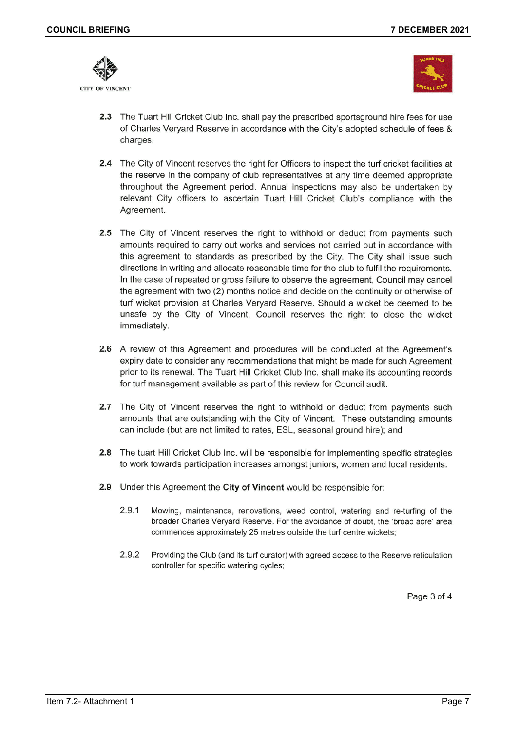

**CITY OF VINCENT** 



- 2.3 The Tuart Hill Cricket Club Inc. shall pay the prescribed sportsground hire fees for use of Charles Veryard Reserve in accordance with the City's adopted schedule of fees & charges.
- 2.4 The City of Vincent reserves the right for Officers to inspect the turf cricket facilities at the reserve in the company of club representatives at any time deemed appropriate throughout the Agreement period. Annual inspections may also be undertaken by relevant City officers to ascertain Tuart Hill Cricket Club's compliance with the Agreement.
- 2.5 The City of Vincent reserves the right to withhold or deduct from payments such amounts required to carry out works and services not carried out in accordance with this agreement to standards as prescribed by the City. The City shall issue such directions in writing and allocate reasonable time for the club to fulfil the requirements. In the case of repeated or gross failure to observe the agreement, Council may cancel the agreement with two (2) months notice and decide on the continuity or otherwise of turf wicket provision at Charles Veryard Reserve. Should a wicket be deemed to be unsafe by the City of Vincent, Council reserves the right to close the wicket immediately.
- 2.6 A review of this Agreement and procedures will be conducted at the Agreement's expiry date to consider any recommendations that might be made for such Agreement prior to its renewal. The Tuart Hill Cricket Club Inc. shall make its accounting records for turf management available as part of this review for Council audit.
- 2.7 The City of Vincent reserves the right to withhold or deduct from payments such amounts that are outstanding with the City of Vincent. These outstanding amounts can include (but are not limited to rates, ESL, seasonal ground hire); and
- 2.8 The tuart Hill Cricket Club Inc. will be responsible for implementing specific strategies to work towards participation increases amongst juniors, women and local residents.
- 2.9 Under this Agreement the City of Vincent would be responsible for:
	- $2.9.1$ Mowing, maintenance, renovations, weed control, watering and re-turfing of the broader Charles Veryard Reserve. For the avoidance of doubt, the 'broad acre' area commences approximately 25 metres outside the turf centre wickets;
	- 2.9.2 Providing the Club (and its turf curator) with agreed access to the Reserve reticulation controller for specific watering cycles;

Page 3 of 4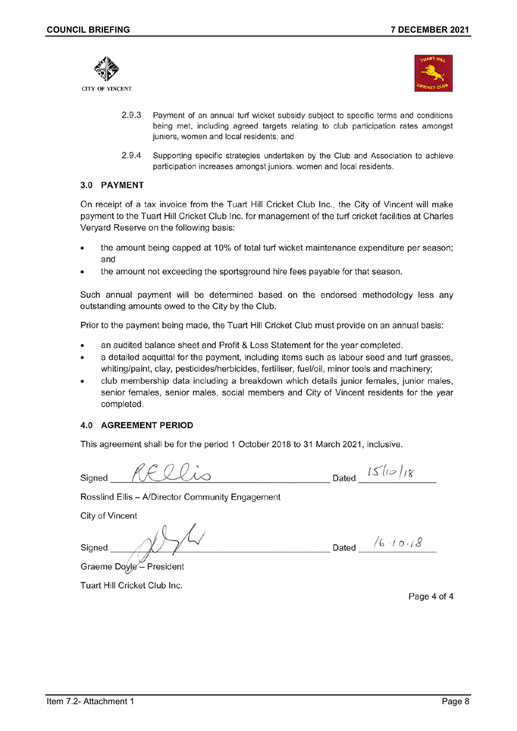



- 2.9.3 Payment of an annual turf wicket subsidy subject to specific terms and conditions being met, including agreed targets relating to club participation rates amongst juniors, women and local residents; and
- 2.9.4 Supporting specific strategies undertaken by the Club and Association to achieve participation increases amongst juniors, women and local residents.

#### 3.0 PAYMENT

On receipt of a tax invoice from the Tuart Hill Cricket Club Inc., the City of Vincent will make payment to the Tuart Hill Cricket Club Inc. for management of the turf cricket facilities at Charles Veryard Reserve on the following basis:

- the amount being capped at 10% of total turf wicket maintenance expenditure per season; and
- the amount not exceeding the sportsground hire fees payable for that season.

Such annual payment will be determined based on the endorsed methodology less any outstanding amounts owed to the City by the Club.

Prior to the payment being made, the Tuart Hill Cricket Club must provide on an annual basis:

- an audited balance sheet and Profit & Loss Statement for the year completed.
- a detailed acquittal for the payment, including items such as labour seed and turf grasses, whiting/paint, clay, pesticides/herbicides, fertiliser, fuel/oil, minor tools and machinery;
- club membership data including a breakdown which details junior females, junior males, senior females, senior males, social members and City of Vincent residents for the year completed.

### **4.0 AGREEMENT PERIOD**

This agreement shall be for the period 1 October 2018 to 31 March 2021, inclusive.

Signed

Dated  $15/10/18$ 

Rosslind Ellis - A/Director Community Engagement

**City of Vincent** 

Signed

Dated  $/6.10.18$ 

Graeme Doyle - President

Tuart Hill Cricket Club Inc.

Page 4 of 4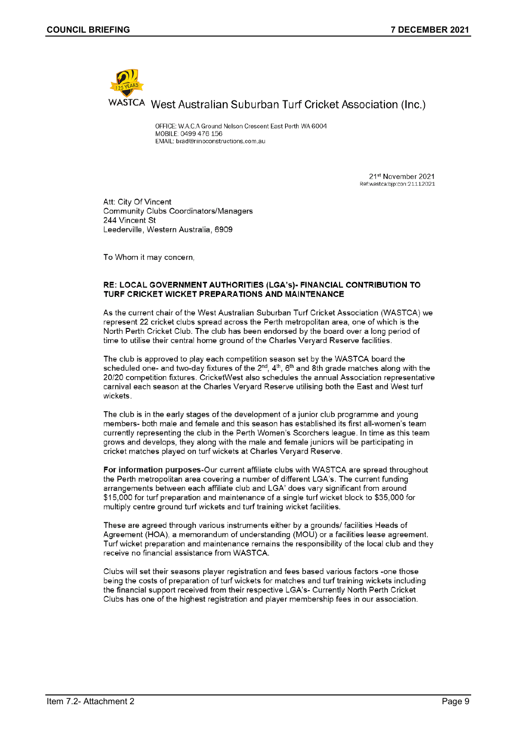

OFFICE: W.A.C.A Ground Nelson Crescent East Perth WA 6004 MOBILE: 0499 476 156 EMAIL: brad@ninoconstructions.com.au

> 21st November 2021 Ref:wastca:bip:con:21112021

Att: City Of Vincent **Community Clubs Coordinators/Managers** 244 Vincent St Leederville, Western Australia, 6909

To Whom it may concern,

#### RE: LOCAL GOVERNMENT AUTHORITIES (LGA's)- FINANCIAL CONTRIBUTION TO TURF CRICKET WICKET PREPARATIONS AND MAINTENANCE

As the current chair of the West Australian Suburban Turf Cricket Association (WASTCA) we represent 22 cricket clubs spread across the Perth metropolitan area, one of which is the North Perth Cricket Club. The club has been endorsed by the board over a long period of time to utilise their central home ground of the Charles Veryard Reserve facilities.

The club is approved to play each competition season set by the WASTCA board the scheduled one- and two-day fixtures of the  $2^{nd}$ ,  $4^{th}$ ,  $6^{th}$  and 8th grade matches along with the 20/20 competition fixtures. CricketWest also schedules the annual Association representative carnival each season at the Charles Veryard Reserve utilising both the East and West turf wickets.

The club is in the early stages of the development of a junior club programme and young members- both male and female and this season has established its first all-women's team currently representing the club in the Perth Women's Scorchers league. In time as this team grows and develops, they along with the male and female juniors will be participating in cricket matches played on turf wickets at Charles Veryard Reserve.

For information purposes-Our current affiliate clubs with WASTCA are spread throughout the Perth metropolitan area covering a number of different LGA's. The current funding arrangements between each affiliate club and LGA' does vary significant from around \$15,000 for turf preparation and maintenance of a single turf wicket block to \$35,000 for multiply centre ground turf wickets and turf training wicket facilities.

These are agreed through various instruments either by a grounds/ facilities Heads of Agreement (HOA), a memorandum of understanding (MOU) or a facilities lease agreement. Turf wicket preparation and maintenance remains the responsibility of the local club and they receive no financial assistance from WASTCA.

Clubs will set their seasons player registration and fees based various factors -one those being the costs of preparation of turf wickets for matches and turf training wickets including the financial support received from their respective LGA's- Currently North Perth Cricket Clubs has one of the highest registration and player membership fees in our association.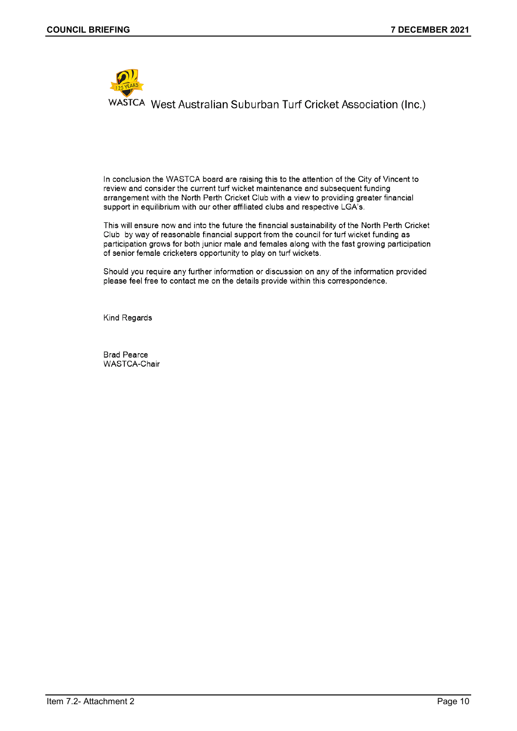

In conclusion the WASTCA board are raising this to the attention of the City of Vincent to review and consider the current turf wicket maintenance and subsequent funding arrangement with the North Perth Cricket Club with a view to providing greater financial support in equilibrium with our other affiliated clubs and respective LGA's.

This will ensure now and into the future the financial sustainability of the North Perth Cricket Club by way of reasonable financial support from the council for turf wicket funding as participation grows for both junior male and females along with the fast growing participation of senior female cricketers opportunity to play on turf wickets.

Should you require any further information or discussion on any of the information provided please feel free to contact me on the details provide within this correspondence.

Kind Regards

**Brad Pearce** WASTCA-Chair